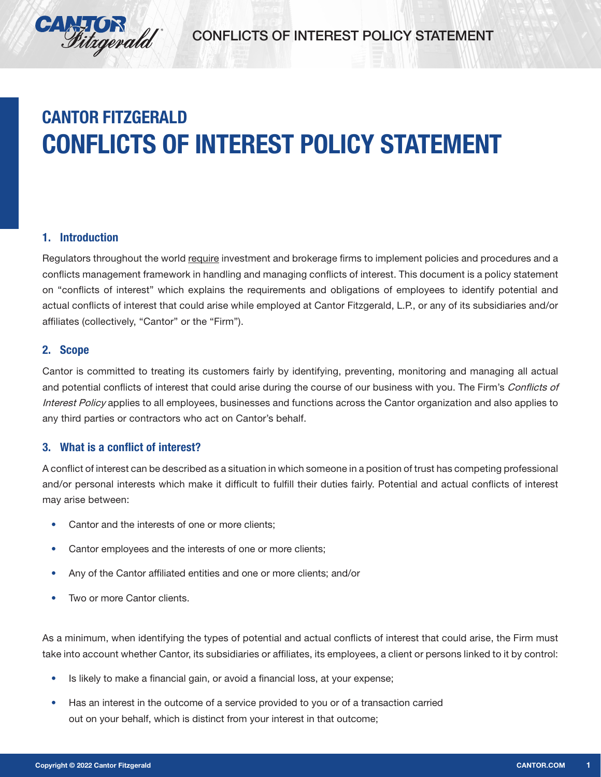

# **CANTOR FITZGERALD CONFLICTS OF INTEREST POLICY STATEMENT**

### 1. Introduction

Regulators throughout the world require investment and brokerage firms to implement policies and procedures and a conflicts management framework in handling and managing conflicts of interest. This document is a policy statement on "conflicts of interest" which explains the requirements and obligations of employees to identify potential and actual conflicts of interest that could arise while employed at Cantor Fitzgerald, L.P., or any of its subsidiaries and/or affiliates (collectively, "Cantor" or the "Firm").

#### 2. Scope

Cantor is committed to treating its customers fairly by identifying, preventing, monitoring and managing all actual and potential conflicts of interest that could arise during the course of our business with you. The Firm's Conflicts of Interest Policy applies to all employees, businesses and functions across the Cantor organization and also applies to any third parties or contractors who act on Cantor's behalf.

#### 3. What is a conflict of interest?

A conflict of interest can be described as a situation in which someone in a position of trust has competing professional and/or personal interests which make it difficult to fulfill their duties fairly. Potential and actual conflicts of interest may arise between:

- **•** Cantor and the interests of one or more clients;
- **•** Cantor employees and the interests of one or more clients;
- **•** Any of the Cantor affiliated entities and one or more clients; and/or
- **•** Two or more Cantor clients.

As a minimum, when identifying the types of potential and actual conflicts of interest that could arise, the Firm must take into account whether Cantor, its subsidiaries or affiliates, its employees, a client or persons linked to it by control:

- **•** Is likely to make a financial gain, or avoid a financial loss, at your expense;
- **•** Has an interest in the outcome of a service provided to you or of a transaction carried out on your behalf, which is distinct from your interest in that outcome;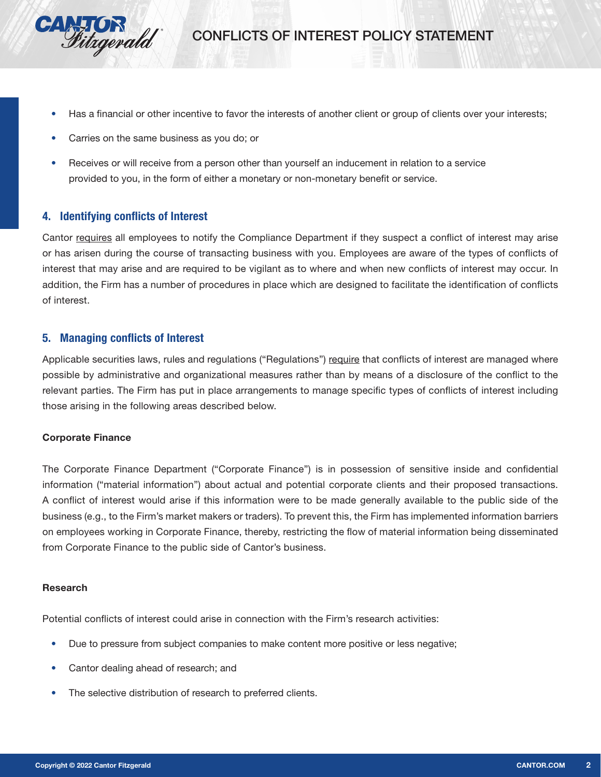

- **•** Has a financial or other incentive to favor the interests of another client or group of clients over your interests;
- **•** Carries on the same business as you do; or
- **•** Receives or will receive from a person other than yourself an inducement in relation to a service provided to you, in the form of either a monetary or non-monetary benefit or service.

#### 4. Identifying conflicts of Interest

Cantor requires all employees to notify the Compliance Department if they suspect a conflict of interest may arise or has arisen during the course of transacting business with you. Employees are aware of the types of conflicts of interest that may arise and are required to be vigilant as to where and when new conflicts of interest may occur. In addition, the Firm has a number of procedures in place which are designed to facilitate the identification of conflicts of interest.

#### 5. Managing conflicts of Interest

Applicable securities laws, rules and regulations ("Regulations") require that conflicts of interest are managed where possible by administrative and organizational measures rather than by means of a disclosure of the conflict to the relevant parties. The Firm has put in place arrangements to manage specific types of conflicts of interest including those arising in the following areas described below.

#### Corporate Finance

The Corporate Finance Department ("Corporate Finance") is in possession of sensitive inside and confidential information ("material information") about actual and potential corporate clients and their proposed transactions. A conflict of interest would arise if this information were to be made generally available to the public side of the business (e.g., to the Firm's market makers or traders). To prevent this, the Firm has implemented information barriers on employees working in Corporate Finance, thereby, restricting the flow of material information being disseminated from Corporate Finance to the public side of Cantor's business.

#### Research

Potential conflicts of interest could arise in connection with the Firm's research activities:

- Due to pressure from subject companies to make content more positive or less negative;
- **•** Cantor dealing ahead of research; and
- **•** The selective distribution of research to preferred clients.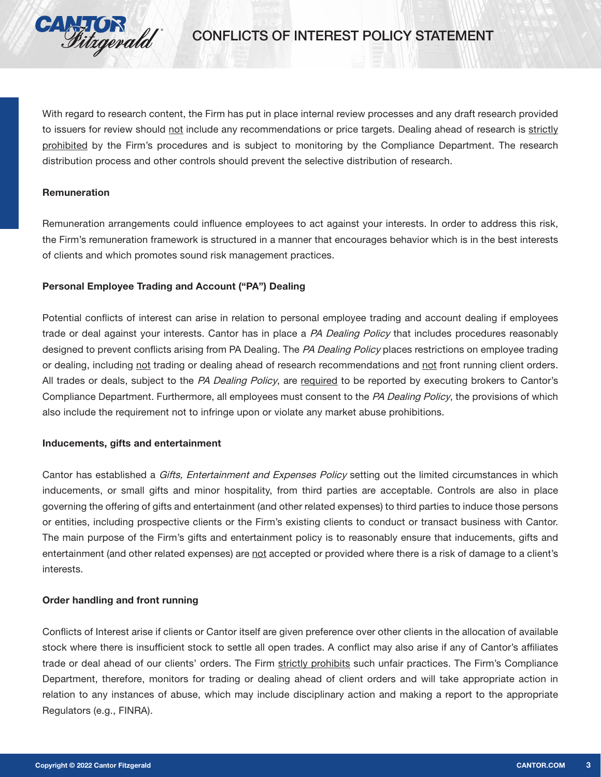

With regard to research content, the Firm has put in place internal review processes and any draft research provided to issuers for review should not include any recommendations or price targets. Dealing ahead of research is strictly prohibited by the Firm's procedures and is subject to monitoring by the Compliance Department. The research distribution process and other controls should prevent the selective distribution of research.

#### Remuneration

Remuneration arrangements could influence employees to act against your interests. In order to address this risk, the Firm's remuneration framework is structured in a manner that encourages behavior which is in the best interests of clients and which promotes sound risk management practices.

#### Personal Employee Trading and Account ("PA") Dealing

Potential conflicts of interest can arise in relation to personal employee trading and account dealing if employees trade or deal against your interests. Cantor has in place a PA Dealing Policy that includes procedures reasonably designed to prevent conflicts arising from PA Dealing. The PA Dealing Policy places restrictions on employee trading or dealing, including not trading or dealing ahead of research recommendations and not front running client orders. All trades or deals, subject to the PA Dealing Policy, are required to be reported by executing brokers to Cantor's Compliance Department. Furthermore, all employees must consent to the PA Dealing Policy, the provisions of which also include the requirement not to infringe upon or violate any market abuse prohibitions.

#### Inducements, gifts and entertainment

Cantor has established a Gifts, Entertainment and Expenses Policy setting out the limited circumstances in which inducements, or small gifts and minor hospitality, from third parties are acceptable. Controls are also in place governing the offering of gifts and entertainment (and other related expenses) to third parties to induce those persons or entities, including prospective clients or the Firm's existing clients to conduct or transact business with Cantor. The main purpose of the Firm's gifts and entertainment policy is to reasonably ensure that inducements, gifts and entertainment (and other related expenses) are not accepted or provided where there is a risk of damage to a client's interests.

#### Order handling and front running

Conflicts of Interest arise if clients or Cantor itself are given preference over other clients in the allocation of available stock where there is insufficient stock to settle all open trades. A conflict may also arise if any of Cantor's affiliates trade or deal ahead of our clients' orders. The Firm strictly prohibits such unfair practices. The Firm's Compliance Department, therefore, monitors for trading or dealing ahead of client orders and will take appropriate action in relation to any instances of abuse, which may include disciplinary action and making a report to the appropriate Regulators (e.g., FINRA).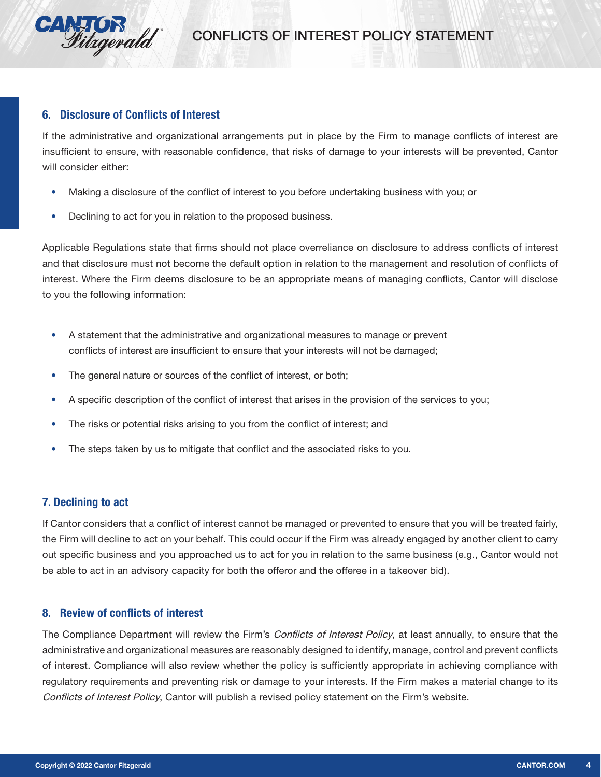

#### 6. Disclosure of Conflicts of Interest

If the administrative and organizational arrangements put in place by the Firm to manage conflicts of interest are insufficient to ensure, with reasonable confidence, that risks of damage to your interests will be prevented, Cantor will consider either:

- **•** Making a disclosure of the conflict of interest to you before undertaking business with you; or
- **•** Declining to act for you in relation to the proposed business.

Applicable Regulations state that firms should not place overreliance on disclosure to address conflicts of interest and that disclosure must not become the default option in relation to the management and resolution of conflicts of interest. Where the Firm deems disclosure to be an appropriate means of managing conflicts, Cantor will disclose to you the following information:

- **•** A statement that the administrative and organizational measures to manage or prevent conflicts of interest are insufficient to ensure that your interests will not be damaged;
- **•** The general nature or sources of the conflict of interest, or both;
- **•** A specific description of the conflict of interest that arises in the provision of the services to you;
- **•** The risks or potential risks arising to you from the conflict of interest; and
- **•** The steps taken by us to mitigate that conflict and the associated risks to you.

## 7. Declining to act

If Cantor considers that a conflict of interest cannot be managed or prevented to ensure that you will be treated fairly, the Firm will decline to act on your behalf. This could occur if the Firm was already engaged by another client to carry out specific business and you approached us to act for you in relation to the same business (e.g., Cantor would not be able to act in an advisory capacity for both the offeror and the offeree in a takeover bid).

#### 8. Review of conflicts of interest

The Compliance Department will review the Firm's *Conflicts of Interest Policy*, at least annually, to ensure that the administrative and organizational measures are reasonably designed to identify, manage, control and prevent conflicts of interest. Compliance will also review whether the policy is sufficiently appropriate in achieving compliance with regulatory requirements and preventing risk or damage to your interests. If the Firm makes a material change to its Conflicts of Interest Policy, Cantor will publish a revised policy statement on the Firm's website.